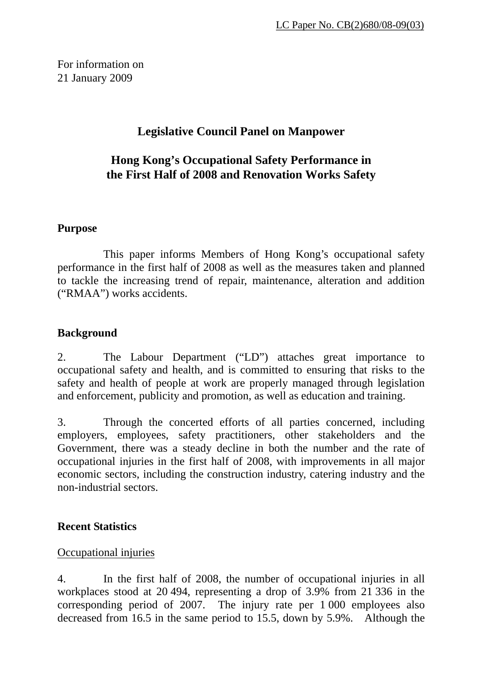For information on 21 January 2009

# **Legislative Council Panel on Manpower**

# **Hong Kong's Occupational Safety Performance in the First Half of 2008 and Renovation Works Safety**

### **Purpose**

 This paper informs Members of Hong Kong's occupational safety performance in the first half of 2008 as well as the measures taken and planned to tackle the increasing trend of repair, maintenance, alteration and addition ("RMAA") works accidents.

## **Background**

2. The Labour Department ("LD") attaches great importance to occupational safety and health, and is committed to ensuring that risks to the safety and health of people at work are properly managed through legislation and enforcement, publicity and promotion, as well as education and training.

3. Through the concerted efforts of all parties concerned, including employers, employees, safety practitioners, other stakeholders and the Government, there was a steady decline in both the number and the rate of occupational injuries in the first half of 2008, with improvements in all major economic sectors, including the construction industry, catering industry and the non-industrial sectors.

## **Recent Statistics**

## Occupational injuries

4. In the first half of 2008, the number of occupational injuries in all workplaces stood at 20 494, representing a drop of 3.9% from 21 336 in the corresponding period of 2007. The injury rate per 1 000 employees also decreased from 16.5 in the same period to 15.5, down by 5.9%. Although the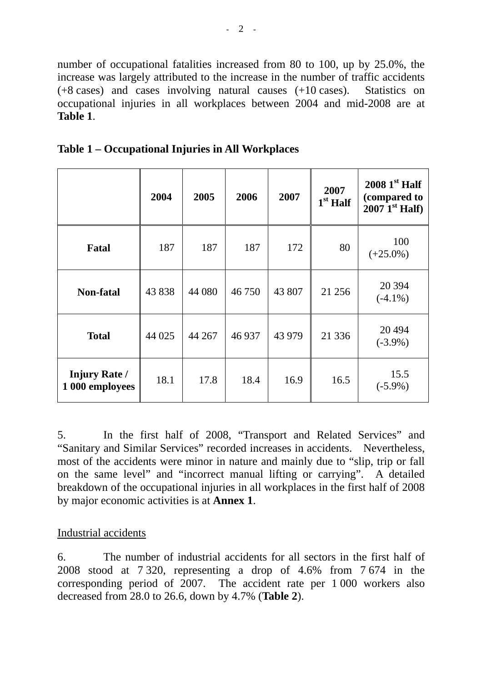number of occupational fatalities increased from 80 to 100, up by 25.0%, the increase was largely attributed to the increase in the number of traffic accidents (+8 cases) and cases involving natural causes (+10 cases). Statistics on occupational injuries in all workplaces between 2004 and mid-2008 are at **Table 1**.

|                                         | 2004   | 2005   | 2006   | 2007   | 2007<br>$1st$ Half | $20081st$ Half<br>(compared to<br>$2007 \mathrm{I}^{\mathrm{st}}$ Half) |
|-----------------------------------------|--------|--------|--------|--------|--------------------|-------------------------------------------------------------------------|
| <b>Fatal</b>                            | 187    | 187    | 187    | 172    | 80                 | 100<br>$(+25.0\%)$                                                      |
| <b>Non-fatal</b>                        | 43 838 | 44 080 | 46750  | 43 807 | 21 25 6            | 20 3 94<br>$(-4.1\%)$                                                   |
| <b>Total</b>                            | 44 025 | 44 267 | 46 937 | 43 979 | 21 3 3 6           | 20 4 94<br>$(-3.9\%)$                                                   |
| <b>Injury Rate /</b><br>1 000 employees | 18.1   | 17.8   | 18.4   | 16.9   | 16.5               | 15.5<br>$(-5.9\%)$                                                      |

**Table 1 – Occupational Injuries in All Workplaces** 

5. In the first half of 2008, "Transport and Related Services" and "Sanitary and Similar Services" recorded increases in accidents. Nevertheless, most of the accidents were minor in nature and mainly due to "slip, trip or fall on the same level" and "incorrect manual lifting or carrying". A detailed breakdown of the occupational injuries in all workplaces in the first half of 2008 by major economic activities is at **Annex 1**.

### Industrial accidents

6. The number of industrial accidents for all sectors in the first half of 2008 stood at 7 320, representing a drop of 4.6% from 7 674 in the corresponding period of 2007. The accident rate per 1 000 workers also decreased from 28.0 to 26.6, down by 4.7% (**Table 2**).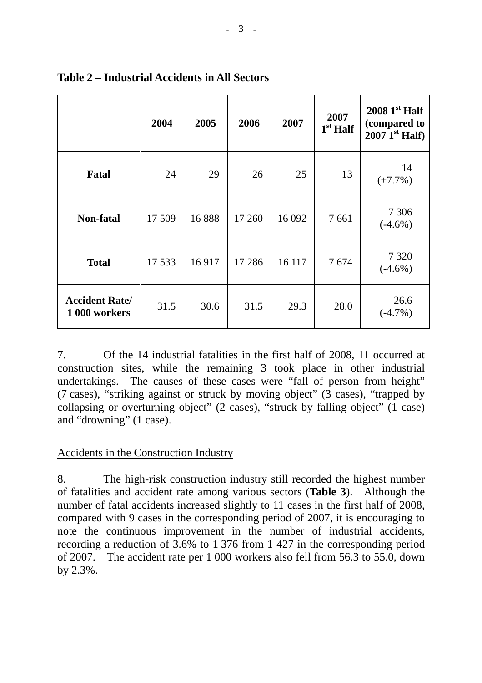|                                        | 2004   | 2005  | 2006    | 2007   | 2007<br>$1st$ Half | $20081st$ Half<br>(compared to<br>$2007$ <sup>Ist</sup> Half) |
|----------------------------------------|--------|-------|---------|--------|--------------------|---------------------------------------------------------------|
| <b>Fatal</b>                           | 24     | 29    | 26      | 25     | 13                 | 14<br>$(+7.7%)$                                               |
| <b>Non-fatal</b>                       | 17 509 | 16888 | 17 260  | 16 092 | 7661               | 7 3 0 6<br>$(-4.6\%)$                                         |
| <b>Total</b>                           | 17 533 | 16917 | 17 28 6 | 16 117 | 7674               | 7 3 2 0<br>$(-4.6\%)$                                         |
| <b>Accident Rate/</b><br>1 000 workers | 31.5   | 30.6  | 31.5    | 29.3   | 28.0               | 26.6<br>$(-4.7%)$                                             |

## **Table 2 – Industrial Accidents in All Sectors**

7. Of the 14 industrial fatalities in the first half of 2008, 11 occurred at construction sites, while the remaining 3 took place in other industrial undertakings. The causes of these cases were "fall of person from height" (7 cases), "striking against or struck by moving object" (3 cases), "trapped by collapsing or overturning object" (2 cases), "struck by falling object" (1 case) and "drowning" (1 case).

## Accidents in the Construction Industry

8. The high-risk construction industry still recorded the highest number of fatalities and accident rate among various sectors (**Table 3**). Although the number of fatal accidents increased slightly to 11 cases in the first half of 2008, compared with 9 cases in the corresponding period of 2007, it is encouraging to note the continuous improvement in the number of industrial accidents, recording a reduction of 3.6% to 1 376 from 1 427 in the corresponding period of 2007. The accident rate per 1 000 workers also fell from 56.3 to 55.0, down by 2.3%.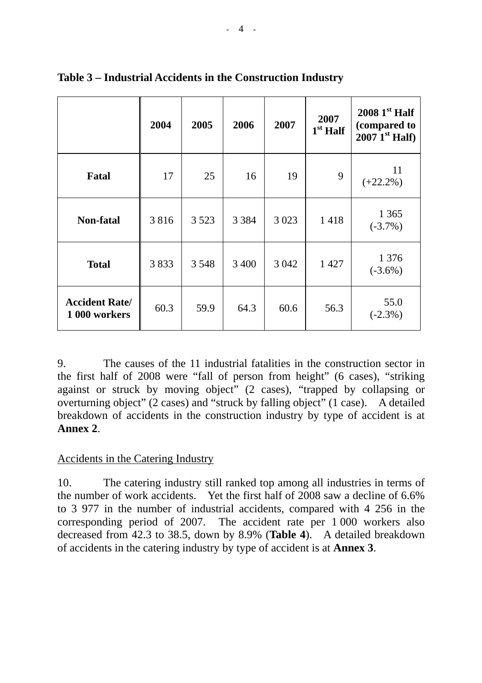|                                        | 2004 | 2005    | 2006    | 2007    | 2007<br>$1st$ Half | $20081st$ Half<br>(compared to<br>$2007 \; 1^{\rm st}$ Half) |
|----------------------------------------|------|---------|---------|---------|--------------------|--------------------------------------------------------------|
| Fatal                                  | 17   | 25      | 16      | 19      | 9                  | 11<br>$(+22.2\%)$                                            |
| Non-fatal                              | 3816 | 3 5 2 3 | 3 3 8 4 | 3 0 2 3 | 1418               | 1 3 6 5<br>$(-3.7\%)$                                        |
| <b>Total</b>                           | 3833 | 3 5 4 8 | 3 4 0 0 | 3 0 4 2 | 1 4 2 7            | 1 3 7 6<br>$(-3.6\%)$                                        |
| <b>Accident Rate/</b><br>1 000 workers | 60.3 | 59.9    | 64.3    | 60.6    | 56.3               | 55.0<br>$(-2.3\%)$                                           |

# **Table 3 – Industrial Accidents in the Construction Industry**

9. The causes of the 11 industrial fatalities in the construction sector in the first half of 2008 were "fall of person from height" (6 cases), "striking against or struck by moving object" (2 cases), "trapped by collapsing or overturning object" (2 cases) and "struck by falling object" (1 case). A detailed breakdown of accidents in the construction industry by type of accident is at **Annex 2**.

### Accidents in the Catering Industry

10. The catering industry still ranked top among all industries in terms of the number of work accidents. Yet the first half of 2008 saw a decline of 6.6% to 3 977 in the number of industrial accidents, compared with 4 256 in the corresponding period of 2007. The accident rate per 1 000 workers also decreased from 42.3 to 38.5, down by 8.9% (**Table 4**). A detailed breakdown of accidents in the catering industry by type of accident is at **Annex 3**.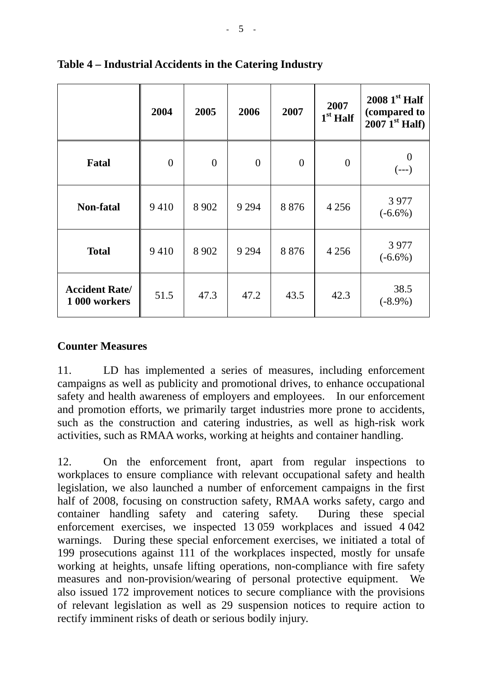|                                        | 2004     | 2005           | 2006           | 2007     | 2007<br>$1st$ Half | $20081st$ Half<br>(compared to<br>$2007$ <sup>1st</sup> Half) |
|----------------------------------------|----------|----------------|----------------|----------|--------------------|---------------------------------------------------------------|
| <b>Fatal</b>                           | $\theta$ | $\overline{0}$ | $\overline{0}$ | $\theta$ | $\overline{0}$     | $\boldsymbol{0}$<br>$(---)$                                   |
| Non-fatal                              | 9410     | 8 9 0 2        | 9 2 9 4        | 8876     | 4 2 5 6            | 3977<br>$(-6.6\%)$                                            |
| <b>Total</b>                           | 9410     | 8 9 0 2        | 9 2 9 4        | 8876     | 4 2 5 6            | 3 9 7 7<br>$(-6.6\%)$                                         |
| <b>Accident Rate/</b><br>1 000 workers | 51.5     | 47.3           | 47.2           | 43.5     | 42.3               | 38.5<br>$(-8.9\%)$                                            |

**Table 4 – Industrial Accidents in the Catering Industry** 

### **Counter Measures**

11. LD has implemented a series of measures, including enforcement campaigns as well as publicity and promotional drives, to enhance occupational safety and health awareness of employers and employees. In our enforcement and promotion efforts, we primarily target industries more prone to accidents, such as the construction and catering industries, as well as high-risk work activities, such as RMAA works, working at heights and container handling.

12. On the enforcement front, apart from regular inspections to workplaces to ensure compliance with relevant occupational safety and health legislation, we also launched a number of enforcement campaigns in the first half of 2008, focusing on construction safety, RMAA works safety, cargo and container handling safety and catering safety. During these special enforcement exercises, we inspected 13 059 workplaces and issued 4 042 warnings. During these special enforcement exercises, we initiated a total of 199 prosecutions against 111 of the workplaces inspected, mostly for unsafe working at heights, unsafe lifting operations, non-compliance with fire safety measures and non-provision/wearing of personal protective equipment. We also issued 172 improvement notices to secure compliance with the provisions of relevant legislation as well as 29 suspension notices to require action to rectify imminent risks of death or serious bodily injury.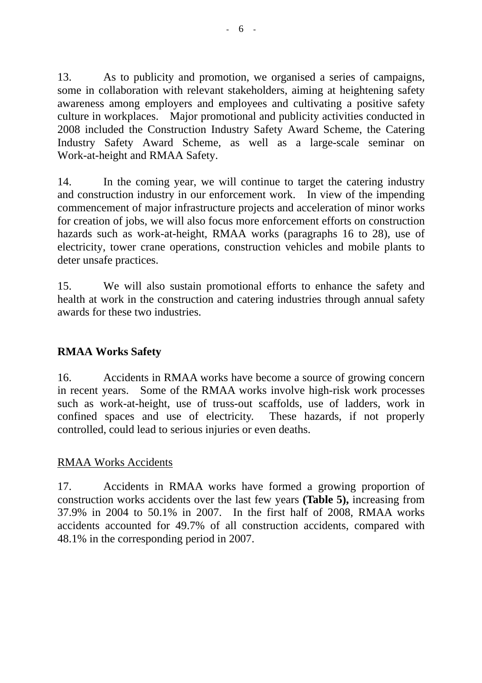13. As to publicity and promotion, we organised a series of campaigns, some in collaboration with relevant stakeholders, aiming at heightening safety awareness among employers and employees and cultivating a positive safety culture in workplaces. Major promotional and publicity activities conducted in 2008 included the Construction Industry Safety Award Scheme, the Catering Industry Safety Award Scheme, as well as a large-scale seminar on Work-at-height and RMAA Safety.

14. In the coming year, we will continue to target the catering industry and construction industry in our enforcement work. In view of the impending commencement of major infrastructure projects and acceleration of minor works for creation of jobs, we will also focus more enforcement efforts on construction hazards such as work-at-height, RMAA works (paragraphs 16 to 28), use of electricity, tower crane operations, construction vehicles and mobile plants to deter unsafe practices.

15. We will also sustain promotional efforts to enhance the safety and health at work in the construction and catering industries through annual safety awards for these two industries.

# **RMAA Works Safety**

16. Accidents in RMAA works have become a source of growing concern in recent years. Some of the RMAA works involve high-risk work processes such as work-at-height, use of truss-out scaffolds, use of ladders, work in confined spaces and use of electricity. These hazards, if not properly controlled, could lead to serious injuries or even deaths.

## RMAA Works Accidents

17. Accidents in RMAA works have formed a growing proportion of construction works accidents over the last few years **(Table 5),** increasing from 37.9% in 2004 to 50.1% in 2007. In the first half of 2008, RMAA works accidents accounted for 49.7% of all construction accidents, compared with 48.1% in the corresponding period in 2007.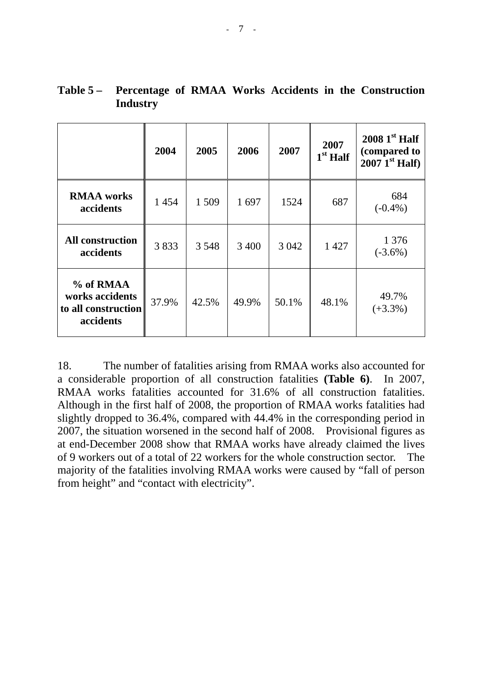|                                                                  | 2004  | 2005    | 2006  | 2007    | 2007<br>$1st$ Half | $20081st$ Half<br>(compared to<br>$2007$ <sup>1st</sup> Half) |
|------------------------------------------------------------------|-------|---------|-------|---------|--------------------|---------------------------------------------------------------|
| <b>RMAA</b> works<br>accidents                                   | 1454  | 1 509   | 1697  | 1524    | 687                | 684<br>$(-0.4\%)$                                             |
| <b>All construction</b><br>accidents                             | 3833  | 3 5 4 8 | 3 400 | 3 0 4 2 | 1 4 2 7            | 1 3 7 6<br>$(-3.6\%)$                                         |
| % of RMAA<br>works accidents<br>to all construction<br>accidents | 37.9% | 42.5%   | 49.9% | 50.1%   | 48.1%              | 49.7%<br>$(+3.3\%)$                                           |

|          |  |  |  | Table 5 – Percentage of RMAA Works Accidents in the Construction |
|----------|--|--|--|------------------------------------------------------------------|
| Industry |  |  |  |                                                                  |

18. The number of fatalities arising from RMAA works also accounted for a considerable proportion of all construction fatalities **(Table 6)**. In 2007, RMAA works fatalities accounted for 31.6% of all construction fatalities. Although in the first half of 2008, the proportion of RMAA works fatalities had slightly dropped to 36.4%, compared with 44.4% in the corresponding period in 2007, the situation worsened in the second half of 2008. Provisional figures as at end-December 2008 show that RMAA works have already claimed the lives of 9 workers out of a total of 22 workers for the whole construction sector. The majority of the fatalities involving RMAA works were caused by "fall of person from height" and "contact with electricity".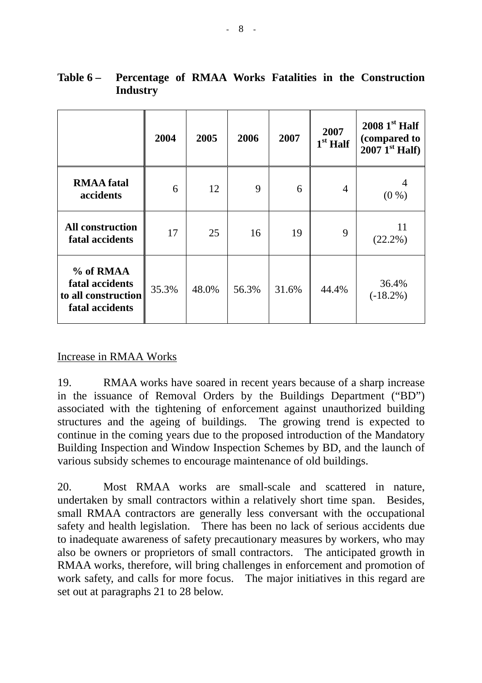|                                                                        | 2004  | 2005  | 2006  | 2007  | 2007<br>$1st$ Half | $20081st$ Half<br>(compared to<br>$2007$ <sup>Ist</sup> Half) |
|------------------------------------------------------------------------|-------|-------|-------|-------|--------------------|---------------------------------------------------------------|
| <b>RMAA</b> fatal<br>accidents                                         | 6     | 12    | 9     | 6     | $\overline{4}$     | $(0\%)$                                                       |
| <b>All construction</b><br>fatal accidents                             | 17    | 25    | 16    | 19    | 9                  | 11<br>$(22.2\%)$                                              |
| % of RMAA<br>fatal accidents<br>to all construction<br>fatal accidents | 35.3% | 48.0% | 56.3% | 31.6% | 44.4%              | 36.4%<br>$(-18.2\%)$                                          |

**Table 6 – Percentage of RMAA Works Fatalities in the Construction Industry** 

### Increase in RMAA Works

19. RMAA works have soared in recent years because of a sharp increase in the issuance of Removal Orders by the Buildings Department ("BD") associated with the tightening of enforcement against unauthorized building structures and the ageing of buildings. The growing trend is expected to continue in the coming years due to the proposed introduction of the Mandatory Building Inspection and Window Inspection Schemes by BD, and the launch of various subsidy schemes to encourage maintenance of old buildings.

20. Most RMAA works are small-scale and scattered in nature, undertaken by small contractors within a relatively short time span. Besides, small RMAA contractors are generally less conversant with the occupational safety and health legislation. There has been no lack of serious accidents due to inadequate awareness of safety precautionary measures by workers, who may also be owners or proprietors of small contractors. The anticipated growth in RMAA works, therefore, will bring challenges in enforcement and promotion of work safety, and calls for more focus. The major initiatives in this regard are set out at paragraphs 21 to 28 below.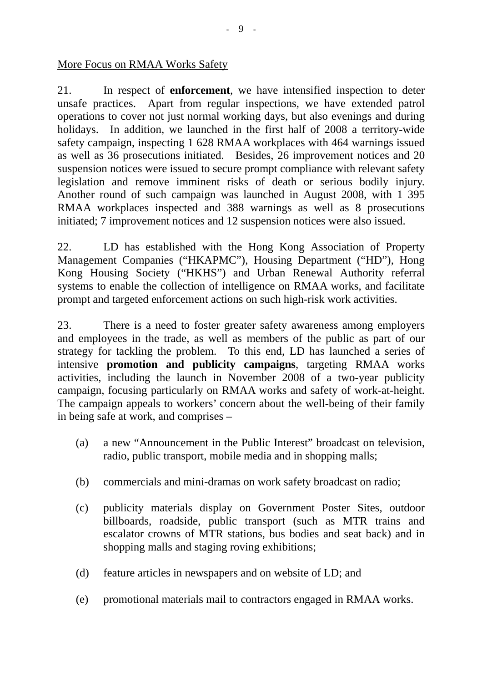#### More Focus on RMAA Works Safety

21. In respect of **enforcement**, we have intensified inspection to deter unsafe practices. Apart from regular inspections, we have extended patrol operations to cover not just normal working days, but also evenings and during holidays. In addition, we launched in the first half of 2008 a territory-wide safety campaign, inspecting 1 628 RMAA workplaces with 464 warnings issued as well as 36 prosecutions initiated. Besides, 26 improvement notices and 20 suspension notices were issued to secure prompt compliance with relevant safety legislation and remove imminent risks of death or serious bodily injury. Another round of such campaign was launched in August 2008, with 1 395 RMAA workplaces inspected and 388 warnings as well as 8 prosecutions initiated; 7 improvement notices and 12 suspension notices were also issued.

22. LD has established with the Hong Kong Association of Property Management Companies ("HKAPMC"), Housing Department ("HD"), Hong Kong Housing Society ("HKHS") and Urban Renewal Authority referral systems to enable the collection of intelligence on RMAA works, and facilitate prompt and targeted enforcement actions on such high-risk work activities.

23. There is a need to foster greater safety awareness among employers and employees in the trade, as well as members of the public as part of our strategy for tackling the problem. To this end, LD has launched a series of intensive **promotion and publicity campaigns**, targeting RMAA works activities, including the launch in November 2008 of a two-year publicity campaign, focusing particularly on RMAA works and safety of work-at-height. The campaign appeals to workers' concern about the well-being of their family in being safe at work, and comprises –

- (a) a new "Announcement in the Public Interest" broadcast on television, radio, public transport, mobile media and in shopping malls;
- (b) commercials and mini-dramas on work safety broadcast on radio;
- (c) publicity materials display on Government Poster Sites, outdoor billboards, roadside, public transport (such as MTR trains and escalator crowns of MTR stations, bus bodies and seat back) and in shopping malls and staging roving exhibitions;
- (d) feature articles in newspapers and on website of LD; and
- (e) promotional materials mail to contractors engaged in RMAA works.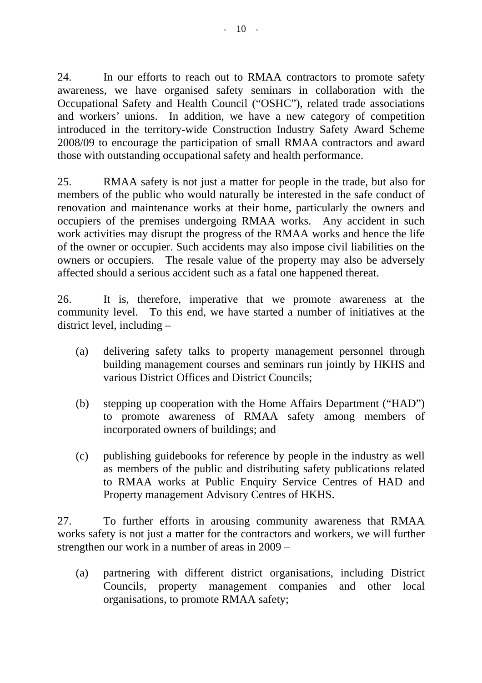24. In our efforts to reach out to RMAA contractors to promote safety awareness, we have organised safety seminars in collaboration with the Occupational Safety and Health Council ("OSHC"), related trade associations and workers' unions. In addition, we have a new category of competition introduced in the territory-wide Construction Industry Safety Award Scheme 2008/09 to encourage the participation of small RMAA contractors and award those with outstanding occupational safety and health performance.

25. RMAA safety is not just a matter for people in the trade, but also for members of the public who would naturally be interested in the safe conduct of renovation and maintenance works at their home, particularly the owners and occupiers of the premises undergoing RMAA works. Any accident in such work activities may disrupt the progress of the RMAA works and hence the life of the owner or occupier. Such accidents may also impose civil liabilities on the owners or occupiers. The resale value of the property may also be adversely affected should a serious accident such as a fatal one happened thereat.

26. It is, therefore, imperative that we promote awareness at the community level. To this end, we have started a number of initiatives at the district level, including –

- (a) delivering safety talks to property management personnel through building management courses and seminars run jointly by HKHS and various District Offices and District Councils;
- (b) stepping up cooperation with the Home Affairs Department ("HAD") to promote awareness of RMAA safety among members of incorporated owners of buildings; and
- (c) publishing guidebooks for reference by people in the industry as well as members of the public and distributing safety publications related to RMAA works at Public Enquiry Service Centres of HAD and Property management Advisory Centres of HKHS.

27. To further efforts in arousing community awareness that RMAA works safety is not just a matter for the contractors and workers, we will further strengthen our work in a number of areas in 2009 –

(a) partnering with different district organisations, including District Councils, property management companies and other local organisations, to promote RMAA safety;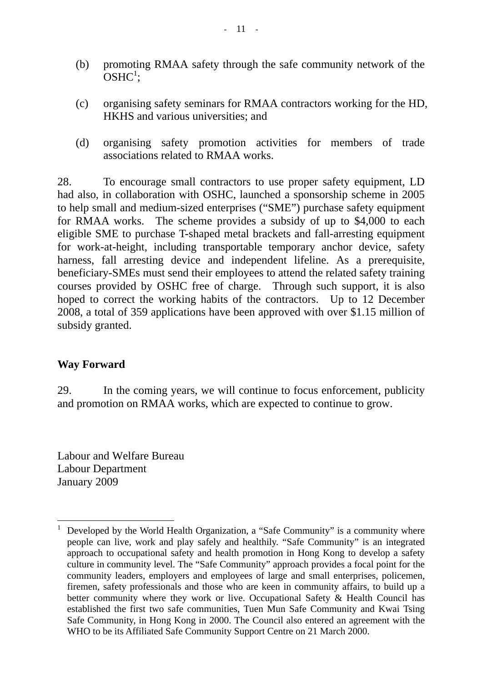- (b) promoting RMAA safety through the safe community network of the  $OSHC<sup>1</sup>$  $OSHC<sup>1</sup>$  $OSHC<sup>1</sup>$ ;
- (c) organising safety seminars for RMAA contractors working for the HD, HKHS and various universities; and
- (d) organising safety promotion activities for members of trade associations related to RMAA works.

28. To encourage small contractors to use proper safety equipment, LD had also, in collaboration with OSHC, launched a sponsorship scheme in 2005 to help small and medium-sized enterprises ("SME") purchase safety equipment for RMAA works. The scheme provides a subsidy of up to \$4,000 to each eligible SME to purchase T-shaped metal brackets and fall-arresting equipment for work-at-height, including transportable temporary anchor device, safety harness, fall arresting device and independent lifeline. As a prerequisite, beneficiary-SMEs must send their employees to attend the related safety training courses provided by OSHC free of charge. Through such support, it is also hoped to correct the working habits of the contractors. Up to 12 December 2008, a total of 359 applications have been approved with over \$1.15 million of subsidy granted.

### **Way Forward**

 $\overline{a}$ 

29. In the coming years, we will continue to focus enforcement, publicity and promotion on RMAA works, which are expected to continue to grow.

Labour and Welfare Bureau Labour Department January 2009

<span id="page-10-0"></span><sup>1</sup> Developed by the World Health Organization, a "Safe Community" is a community where people can live, work and play safely and healthily. "Safe Community" is an integrated approach to occupational safety and health promotion in Hong Kong to develop a safety culture in community level. The "Safe Community" approach provides a focal point for the community leaders, employers and employees of large and small enterprises, policemen, firemen, safety professionals and those who are keen in community affairs, to build up a better community where they work or live. Occupational Safety & Health Council has established the first two safe communities, Tuen Mun Safe Community and Kwai Tsing Safe Community, in Hong Kong in 2000. The Council also entered an agreement with the WHO to be its Affiliated Safe Community Support Centre on 21 March 2000.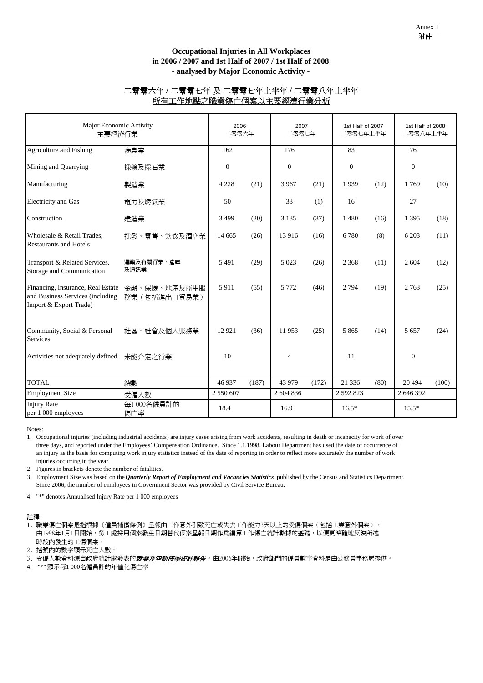#### **Occupational Injuries in All Workplaces in 2006 / 2007 and 1st Half of 2007 / 1st Half of 2008 - analysed by Major Economic Activity -**

#### 二零零六年 **/** 二零零七年 及 二零零七年上半年 **/** 二零零八年上半年 所有工作地點之職業傷亡個案以主要經濟行業分析

| Major Economic Activity<br>主要經濟行業                                                               |                               |              | 2006<br>二零零六年 |              | 2007<br>二零零七年 |              | 1st Half of 2007<br>二零零七年上半年 |              | 1st Half of 2008<br>二零零八年上半年 |  |
|-------------------------------------------------------------------------------------------------|-------------------------------|--------------|---------------|--------------|---------------|--------------|------------------------------|--------------|------------------------------|--|
| Agriculture and Fishing                                                                         | 漁農業                           | 162          |               | 176          |               | 83           |                              | 76           |                              |  |
| Mining and Quarrying                                                                            | 採礦及採石業                        | $\mathbf{0}$ |               | $\mathbf{0}$ |               | $\mathbf{0}$ |                              | $\mathbf{0}$ |                              |  |
| Manufacturing                                                                                   | 製造業                           | 4 2 2 8      | (21)          | 3967         | (21)          | 1939         | (12)                         | 1769         | (10)                         |  |
| <b>Electricity</b> and Gas                                                                      | 電力及燃氣業                        | 50           |               | 33           | (1)           | 16           |                              | 27           |                              |  |
| Construction                                                                                    | 建造業                           | 3499         | (20)          | 3 1 3 5      | (37)          | 1480         | (16)                         | 1 3 9 5      | (18)                         |  |
| Wholesale & Retail Trades,<br><b>Restaurants and Hotels</b>                                     | 批發、零售、飲食及酒店業                  | 14 6 65      | (26)          | 13 916       | (16)          | 6780         | (8)                          | 6 2 0 3      | (11)                         |  |
| Transport & Related Services,<br>Storage and Communication                                      | 運輸及有關行業、倉庫<br>及通訊業            | 5491         | (29)          | 5 0 23       | (26)          | 2 3 6 8      | (11)                         | 2 604        | (12)                         |  |
| Financing, Insurance, Real Estate<br>and Business Services (including<br>Import & Export Trade) | 金融、保險、地產及商用服<br>務業 (包括進出口貿易業) | 5911         | (55)          | 5 7 7 2      | (46)          | 2 7 9 4      | (19)                         | 2 7 6 3      | (25)                         |  |
| Community, Social & Personal<br>Services                                                        | 社區、社會及個人服務業                   | 12 9 21      | (36)          | 11953        | (25)          | 5 8 6 5      | (14)                         | 5 6 5 7      | (24)                         |  |
| Activities not adequately defined                                                               | 未能介定之行業                       | 10           |               | 4            |               | 11           |                              | $\mathbf{0}$ |                              |  |
| <b>TOTAL</b>                                                                                    | 總數                            | 46 937       | (187)         | 43 979       | (172)         | 21 3 3 6     | (80)                         | 20 4 94      | (100)                        |  |
| <b>Employment Size</b>                                                                          | 受僱人數                          | 2 550 607    |               | 2 604 836    |               | 2 592 823    |                              | 2 646 392    |                              |  |
| <b>Injury Rate</b><br>per 1 000 employees                                                       | 每1000名僱員計的<br>傷亡率             | 18.4         |               | 16.9         |               | $16.5*$      |                              | $15.5*$      |                              |  |

Notes:

1. Occupational injuries (including industrial accidents) are injury cases arising from work accidents, resulting in death or incapacity for work of over three days, and reported under the Employees' Compensation Ordinance. Since 1.1.1998, Labour Department has used the date of occurrence of an injury as the basis for computing work injury statistics instead of the date of reporting in order to reflect more accurately the number of work injuries occurring in the year.

2. Figures in brackets denote the number of fatalities.

3. Employment Size was based on the *Quarterly Report of Employment and Vacancies Statistics* published by the Census and Statistics Department. Since 2006, the number of employees in Government Sector was provided by Civil Service Bureau.

4. "\*" denotes Annualised Injury Rate per 1 000 employees

#### 註釋:

1. 職業傷亡個案是指根據《僱員補償條例》呈報由工作意外引致死亡或失去工作能力3天以上的受傷個案(包括工業意外個案)。 由1998年1月1日開始,勞工處採用個案發生日期替代個案呈報日期作爲編算工作傷亡統計數據的基礎,以便更準確地反映所述 時段內發生的工傷個案。

2. 括號內的數字顯示死亡人數。

3. 受僱人數資料源自政府統計處發表的*就業及空缺按季统計報告*。由2006年開始,政府部門的僱員數字資料是由公務員事務局提供。

4. "\*" 顯示每1 000名僱員計的年值化傷亡率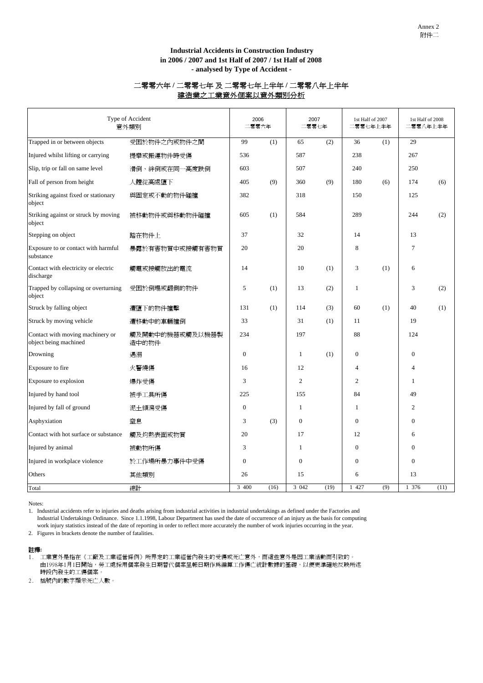#### **in 2006 / 2007 and 1st Half of 2007 / 1st Half of 2008 Industrial Accidents in Construction Industry - analysed by Type of Accident -**

#### 二零零六年 **/** 二零零七年 及 二零零七年上半年 **/** 二零零八年上半年 建造業之工業意外個案以意外類別分析

| Type of Accident<br>意外類別                                  |                          |                  | 2006<br>二零零六年 | 2007<br>二零零七年  |      | 1st Half of 2007<br>二零零七年上半年 |     | 1st Half of 2008<br>二零零八年上半年 |      |
|-----------------------------------------------------------|--------------------------|------------------|---------------|----------------|------|------------------------------|-----|------------------------------|------|
| Trapped in or between objects                             | 受困於物件之內或物件之間             | 99               | (1)           | 65             | (2)  | 36                           | (1) | 29                           |      |
| Injured whilst lifting or carrying                        | 提舉或搬運物件時受傷               | 536              |               | 587            |      | 238                          |     | 267                          |      |
| Slip, trip or fall on same level                          | 滑倒、絆倒或在同一高度跌倒            | 603              |               | 507            |      | 240                          |     | 250                          |      |
| Fall of person from height                                | 人體從高處墮下                  | 405              | (9)           | 360            | (9)  | 180                          | (6) | 174                          | (6)  |
| Striking against fixed or stationary<br>object            | 與固定或不動的物件碰撞              | 382              |               | 318            |      | 150                          |     | 125                          |      |
| Striking against or struck by moving<br>object            | 被移動物件或與移動物件碰撞            | 605              | (1)           | 584            |      | 289                          |     | 244                          | (2)  |
| Stepping on object                                        | 踏在物件上                    | 37               |               | 32             |      | 14                           |     | 13                           |      |
| Exposure to or contact with harmful<br>substance          | 暴露於有害物質中或接觸有害物質          | 20               |               | 20             |      | 8                            |     | 7                            |      |
| Contact with electricity or electric<br>discharge         | 觸電或接觸放出的電流               | 14               |               | 10             | (1)  | 3                            | (1) | 6                            |      |
| Trapped by collapsing or overturning<br>object            | 受困於倒塌或翻側的物件              | 5                | (1)           | 13             | (2)  | 1                            |     | 3                            | (2)  |
| Struck by falling object                                  | 遭墮下的物件撞擊                 | 131              | (1)           | 114            | (3)  | 60                           | (1) | 40                           | (1)  |
| Struck by moving vehicle                                  | 遭移動中的車輛撞倒                | 33               |               | 31             | (1)  | 11                           |     | 19                           |      |
| Contact with moving machinery or<br>object being machined | 觸及開動中的機器或觸及以機器製<br>造中的物件 | 234              |               | 197            |      | 88                           |     | 124                          |      |
| Drowning                                                  | 遇溺                       | $\boldsymbol{0}$ |               | $\mathbf{1}$   | (1)  | $\mathbf{0}$                 |     | $\boldsymbol{0}$             |      |
| Exposure to fire                                          | 火警燒傷                     | 16               |               | 12             |      | $\overline{4}$               |     | $\overline{4}$               |      |
| Exposure to explosion                                     | 爆炸受傷                     | 3                |               | $\overline{c}$ |      | $\overline{2}$               |     | $\mathbf{1}$                 |      |
| Injured by hand tool                                      | 被手工具所傷                   | 225              |               | 155            |      | 84                           |     | 49                           |      |
| Injured by fall of ground                                 | 泥土傾瀉受傷                   | $\mathbf{0}$     |               | 1              |      | 1                            |     | $\overline{2}$               |      |
| Asphyxiation                                              | 窒息                       | 3                | (3)           | $\mathbf{0}$   |      | $\Omega$                     |     | $\overline{0}$               |      |
| Contact with hot surface or substance                     | 觸及灼熱表面或物質                | 20               |               | 17             |      | 12                           |     | 6                            |      |
| Injured by animal                                         | 被動物所傷                    | 3                |               | 1              |      | $\Omega$                     |     | $\overline{0}$               |      |
| Injured in workplace violence                             | 於工作場所暴力事件中受傷             | $\overline{0}$   |               | $\mathbf{0}$   |      | $\mathbf{0}$                 |     | $\overline{0}$               |      |
| Others                                                    | 其他類別                     | 26               |               | 15             |      | 6                            |     | 13                           |      |
| Total                                                     | 總計                       | 3 400            | (16)          | 3 0 4 2        | (19) | 1 427                        | (9) | 1 376                        | (11) |

Notes:

1. Industrial accidents refer to injuries and deaths arising from industrial activities in industrial undertakings as defined under the Factories and Industrial Undertakings Ordinance. Since 1.1.1998, Labour Department has used the date of occurrence of an injury as the basis for computing work injury statistics instead of the date of reporting in order to reflect more accurately the number of work injuries occurring in the year.

2. Figures in brackets denote the number of fatalities.

#### 註釋**:**

1. 工業意外是指在《工廠及工業經營條例》所界定的工業經營內發生的受傷或死亡意外,而這些意外是因工業活動而引致的。 由1998年1月1日開始,勞工處採用個案發生日期替代個案呈報日期作爲編算工作傷亡統計數據的基礎,以便更準確地反映所述 時段內發生的工傷個案。

2. 括號內的數字顯示死亡人數。